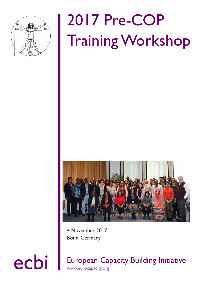

# 2017 Pre-COP Training Workshop



4 November 2017 Bonn, Germany

ecbi European Capacity Building Initiative www.eurocapacity.org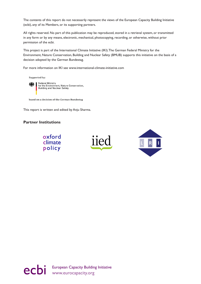The contents of this report do not necessarily represent the views of the European Capacity Building Initiative (ecbi), any of its Members, or its supporting partners.

All rights reserved. No part of this publication may be reproduced, stored in a retrieval system, or transmitted in any form or by any means, electronic, mechanical, photocopying, recording, or otherwise, without prior permission of the ecbi.

This project is part of the International Climate Initiative (IKI). The German Federal Ministry for the Environment, Nature Conservation, Building and Nuclear Safety (BMUB) supports this initiative on the basis of a decision adopted by the German Bundestag.

For more information on IKI see www.international-climate-initiative.com

Supported by:



Federal Ministry<br>for the Environment, Nature Conservation,<br>Building and Nuclear Safety

based on a decision of the German Bundestag

This report is written and edited by Anju Sharma.

#### **Partner Institutions**







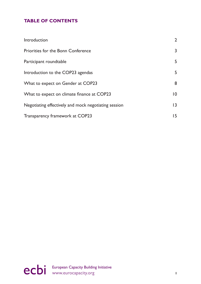# **TABLE OF CONTENTS**

| Introduction                                         | $\overline{2}$ |
|------------------------------------------------------|----------------|
| Priorities for the Bonn Conference                   | 3              |
| Participant roundtable                               | 5              |
| Introduction to the COP23 agendas                    | 5              |
| What to expect on Gender at COP23                    | 8              |
| What to expect on climate finance at COP23           | $ 0\rangle$    |
| Negotiating effectively and mock negotiating session | 3              |
| Transparency framework at COP23                      | 15             |

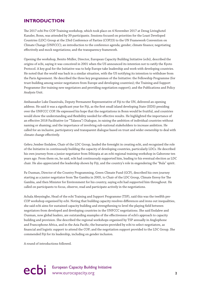### <span id="page-3-0"></span>**INTRODUCTION**

The 2017 ecbi Pre-COP Training workshop, which took place on 4 November 2017 at Derag Livinghotel Kanzler, Bonn, was attended by 39 participants. Sessions focused on priorities for the Least Developed Countries (LDC) Group at the 23rd Conference of Parties (COP23) to the UN Framework Convention on Climate Change (UNFCCC); an introduction to the conference agenda; gender; climate finance; negotiating effectively and mock negotiations; and the transparency framework.

Opening the workshop, Benito Müller, Director, European Capacity Building Initiative (ecbi), described the origins of ecbi, saying it was conceived in 2001 when the US announced its intention not to ratify the Kyoto Protocol. A key goal for the Initiative was to help Europe take leadership and work with developing countries. He noted that the world was back in a similar situation, with the US notifying its intention to withdraw from the Paris Agreement. He described the three key programmes of the Initiative: the Fellowship Programme (for trust-building among senior negotiators from Europe and developing countries); the Training and Support Programme (for training new negotiators and providing negotiation support); and the Publications and Policy Analysis Unit.

Ambassador Luke Daunivalu, Deputy Permanent Representative of Fiji to the UN, delivered an opening address. He said it was a significant year for Fiji, as the first small island developing State (SIDS) presiding over the UNFCCC COP. He expressed his hope that the negotiations in Bonn would be fruitful, and countries would show the understanding and flexibility needed for effective results. He highlighted the importance of an effective 2018 Facilitative (or "Talanoa") Dialogue, in raising the ambition of individual countries without naming or shaming; and the importance of involving sub-national stakeholders to increase ambition. He called for an inclusive, participatory and transparent dialogue based on trust and wider ownership to deal with climate change effectively.

Gebru Jember Endalew, Chair of the LDC Group, lauded the foresight in creating ecbi, and recognised the role of the Initiative in continuously building the capacity of developing countries, particularly LDCs. He described his own journey from a junior negotiator from Ethiopia at an ecbi regional training workshop in Gaborone ten years ago. From them on, he said, ecbi had continuously supported him, leading to his eventual election as LDC chair. He also appreciated the leadership shown by Fiji, and the country's role in engendering the "Bula" spirit.

Pa Ousman, Director of the Country Programming, Green Climate Fund (GCF), described his own journey starting as a junior negotiator from The Gambia in 2005, to Chair of the LDC Group, Climate Envoy for The Gambia, and then Minister for Environment for his country, saying ecbi had supported him throughout. He called on participants to focus, observe, read and participate actively in the negotiations.

Achala Abeysinghe, Head of the ecbi Training and Support Programme (TSP), said this was the twelfth pre-COP workshop organised by ecbi. Noting that building capacity resolves differences and irons out inequalities, she said ecbi aims for sustained capacity building and strengthening to level the playing field between negotiators from developed and developing countries in the UNFCCC negotiations. She said Endalew and Ousman, now global leaders, are outstanding examples of the effectiveness of ecbi's approach to capacity building and provision. She described the regional workshops organised by TSP annually in Anglophone and Francophone Africa, and in the Asia Pacific; the bursaries provided by ecbi to select negotiators, as financial and logistic support to attend the COP; and the negotiation support provided to the LDC Group. She commended Fiji for its leadership, including on gender inclusion.

A round of introductions followed.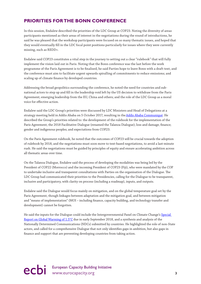# <span id="page-4-0"></span>**PRIORITIES FOR THE BONN CONFERENCE**

In this session, Endalew described the priorities of the LDC Group at COP23. Noting the diversity of areas participants mentioned as their areas of interest in the negotiations during the round of introductions, he said he was pleased that the workshop participants were focused on so many thematic issues, and hoped that they would eventually fill in the LDC focal point positions particularly for issues where they were currently missing, such as REDD+.

Endalew said COP23 constitutes a vital step in the journey to setting out a clear "rulebook" that will fully implement the vision laid out in Paris. Noting that the Bonn conference was the last before the work programme of the Paris Agreement is to be finalised, he said Parties hope to leave Bonn with a draft text, and the conference must aim to facilitate urgent upwards spiralling of commitments to reduce emissions; and scaling up of climate finance by developed countries.

Addressing the broad geopolitics surrounding the conference, he noted the need for countries and subnational actors to step up and fill in the leadership void left by the US decision to withdraw from the Paris Agreement; emerging leadership from the EU, China and others; and the role of the LDC Group as a moral voice for effective action.

Endalew said the LDC Group's priorities were discussed by LDC Ministers and Head of Delegations at a strategy meeting held in Addis Ababa on 5 October 2017, resulting in the [Addis Ababa Communiqué.](https://ldcclimate.wordpress.com/2017/10/09/ministers-from-least-developed-countries-commit-to-ambitious-climate-action-and-call-for-global-community-to-step-up-support-at-un-climate-change-negotiations/) He described the Group's priorities related to: the development of the rulebook for the implementation of the Paris Agreement; the 2018 Facilitative Dialogue (renamed the Talanoa Dialogue); loss and damage; finance; gender and indigenous peoples; and expectations from COP23.

On the Paris Agreement rulebook, he noted that the outcomes of COP23 will be crucial towards the adoption of rulebook by 2018, and the negotiations must soon move to text-based negotiations, to avoid a last-minute rush. He said the negotiations must be guided by principles of equity and ensure accelerating ambition across all thematic areas over time.

On the Talanoa Dialogue, Endalew said the process of developing the modalities was being led by the President of COP22 (Morrocco) and the incoming President of COP23 (Fiji), who were mandated by the COP to undertake inclusive and transparent consultations with Parties on the organisation of the Dialogue. The LDC Group had communicated their priorities to the Presidencies, calling for the Dialogue to be transparent, inclusive and participatory, with clarity on process (including a roadmap), inputs, and outputs.

Endalew said the Dialogue would focus mainly on mitigation, and on the global temperature goal set by the Paris Agreement, though linkages between adaptation and the mitigation goal, and between mitigation and "means of implementation" (MOI – including finance, capacity building, and technology transfer and development) cannot be forgotten.

He said the inputs for the Dialogue could include the Intergovernmental Panel on Climate Change's Special [Report on Global Warming of 1.5°C](http://www.ipcc.ch/report/sr15/) due in early September 2018, and a synthesis and analysis of the Nationally Determined Communications (NDCs) submitted by countries. He highlighted the role of non-State actors, and called for a comprehensive Dialogue that not only identifies gaps in ambition, but also gaps in finance and support that are preventing developing countries from taking action.

# ecbi European Capacity Building Initiative<br>
3<br>
<sup>3</sup>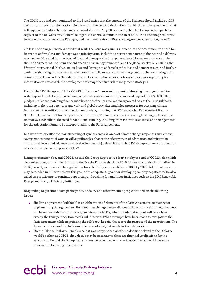The LDC Group had communicated to the Presidencies that the outputs of the Dialogue should include a COP decision and a political declaration, Endalew said. The political declaration should address the question of what will happen next, after the Dialogue is concluded. In the May 2017 session, the LDC Group had supported a request to the UN Secretary-General to organise a special summit in the start of 2019, to encourage countries to act on the outcomes of the Dialogue, and to submit revised NDCs, showing enhanced ambition, by 2020.

On loss and damage, Endalew noted that while the issue was gaining momentum and acceptance, the need for finance to address loss and damage was a priority issue, including a permanent source of finance and a delivery mechanism. He called for: the issue of loss and damage to be incorporated into all relevant processes under the Paris Agreement, including the enhanced transparency framework and the global stocktake; enabling the Warsaw International Mechanism on Loss and Damage to address broader loss and damage issues; and further work in elaborating the mechanism into a tool that delivers assistance on the ground to those suffering from climate impacts, including the establishment of a clearinghouse for risk transfer to act as a repository for information to assist with the development of comprehensive risk management strategies.

He said the LDC Group would like COP23 to focus on finance and support, addressing: the urgent need for scaled-up and predictable finance based on actual needs (significantly above and beyond the US\$100 billion pledged); rules for matching finance mobilised with finance received incorporated across the Paris rulebook, including in the transparency framework and global stocktake; simplified processes for accessing climate finance from the entities of the financial mechanism, including the GCF and Global Environment Facility (GEF); replenishment of finance particularly for the LDC Fund; the setting of a new global target, based on a floor of US\$100 billion; the need for additional funding, including from innovative sources; and arrangements for the Adaptation Fund to be incorporated into the Paris Agreement.

Endalew further called for mainstreaming of gender across all areas of climate change responses and actions, saying empowerment of women will significantly enhance the effectiveness of adaptation and mitigation efforts at all levels and advance broader development objectives. He said the LDC Group supports the adoption of a robust gender action plan at COP23.

Listing expectations beyond COP23, he said the Group hopes to see draft text by the end of COP23, along with clear milestones, or it will be difficult to finalise the Paris rulebook by 2018. Unless the rulebook is finalised in 2018, he said, countries will lack guidelines for submitting more ambitious NDCs by 2020. Additional sessions may be needed in 2018 to achieve this goal, with adequate support for developing country negotiators. He also called on participants to continue supporting and pushing for ambitious initiatives such as the LDC Renewable Energy and Energy Efficiency Initiatives.

Responding to questions from participants, Endalew and other resource people clarified on the following issues:

- The Paris Agreement "rulebook" is an elaboration of elements of the Paris Agreement, necessary for implementing the Agreement. He noted that the Agreement did not include the details of how elements will be implemented – for instance, guidelines for NDCs, what the adaptation goal will be, or how exactly the transparency framework will function. While attempts have been made to renegotiate the Paris Agreement while negotiating the rulebook, he said, this is not the purpose of the negotiations. The Agreement is a baseline that cannot be renegotiated, but needs further elaboration.
- On the Talanoa Dialogue, Endalew said it was not yet clear whether a decision related to the Dialogue would be taken at COP23, though this may be necessary if there are financial implications for the year ahead. He said the Group had a discussion scheduled with the Presidencies and will have more information following this meeting.

# ecbi European Capacity Building Initiative<br>
4<br> **4**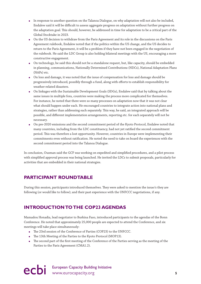- <span id="page-6-0"></span>● In response to another question on the Talanoa Dialogue, on why adaptation will not also be included, Endalew said it will be difficult to assess aggregate progress on adaptation without further progress on the adaptation goal. This should, however, be addressed in time for adaptation to be a critical part of the Global Stocktake in 2023.
- On the US decision to withdraw from the Paris Agreement and its role in the discussions on the Paris Agreement rulebook, Endalew noted that if the politics within the US change, and the US decides to return to the Paris Agreement, it will be a problem if they have not been engaged in the negotiation of the rulebook. He said the LDC Group is also holding bilateral meetings with the US, encouraging a more constructive engagement.
- On technology, he said this should not be a standalone request, but, like capacity, should be embedded in planning, communications, Nationally Determined Contributions (NDCs), National Adaptation Plans (NAPs) etc.
- On loss and damage, it was noted that the issue of compensation for loss and damage should be progressively introduced, possibly through a fund, along with efforts to establish responsibility for weather-related disasters.
- On linkages with the Sustainable Development Goals (SDGs), Endalew said that by talking about the same issues in multiple fora, countries were making the process more complicated for themselves. For instance, he noted that there were so many processes on adaptation now that it was not clear what should happen under each. He encouraged countries to integrate action into national plans and strategies, rather than addressing each separately. This way, he said, an integrated approach will be possible, and different implementation arrangements, reporting etc. for each separately will not be necessary.
- On pre-2020 emissions and the second commitment period of the Kyoto Protocol, Endalew noted that many countries, including from the LDC constituency, had not yet ratified the second commitment period. This was therefore a lost opportunity. However, countries in Europe were implementing their commitments even without ratification. He noted the need to take on board the experiences with the second commitment period into the Talanoa Dialogue.

In conclusion, Ousman said the GCF was working on expedited and simplified procedures, and a pilot process with simplified approval process was being launched. He invited the LDCs to submit proposals, particularly for activities that are embedded in their national strategies.

# **PARTICIPANT ROUNDTABLE**

During this session, participants introduced themselves. They were asked to mention the issue/s they are following (or would like to follow); and their past experience with the UNFCCC negotiations, if any.

# **INTRODUCTION TO THE COP23 AGENDAS**

Mamadou Honadia, lead negotiator to Burkina Faso, introduced participants to the agendas of the Bonn Conference. He noted that approximately 25,000 people are expected to attend the Conference, and six meetings will take place simultaneously:

- The 23rd session of the Conference of Parties (COP23) to the UNFCCC.
- The 13th Meeting of the Parties to the Kyoto Protocol (MOP13).
- The second part of the first meeting of the Conference of the Parties serving as the meeting of the Parties to the Paris Agreement (CMA1.2).

ecbi European Capacity Building Initiative<br>
s<br> **S**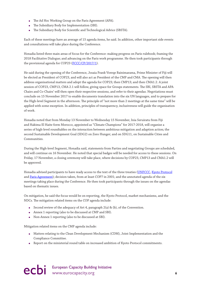- The Ad Hoc Working Group on the Paris Agreement (APA).
- The Subsidiary Body for Implementation (SBI).
- The Subsidiary Body for Scientific and Technological Advice (SBSTA).

Each of these meetings have an average of 15 agenda items, he said. In addition, other important side events and consultations will take place during the Conference.

Honadia listed three main areas of focus for the Conference: making progress on Paris rulebook; framing the 2018 Facilitative Dialogue; and advancing on the Paris work programme. He then took participants through the provisional agenda for COP23 [\(FCCC/CP/2017/1](http://unfccc.int/resource/docs/2017/cop23/eng/01.pdf)).

He said during the opening of the Conference, Josaia Frank Voreqe Bainimarama, Prime Minister of Fiji will be elected as President of COP23, and will also act as President of the CMP and CMA. The opening will then address organisational matters and adopt the agenda for COP23; then CMP13; and then CMA1.2. A joint session of COP23, CMP13, CMA 2.1 will follow, giving space for Groups statements. The SBI, SBSTA and APA Chairs and Co-Chairs' will then open their respective sessions, and refer to their agendas. Negotiations must conclude on 15 November 2017 to enable documents translation into the six UN languages, and to prepare for the High-level Segment in the afternoon. The principle of "not more than 2 meetings at the same time" will be applied with some exception. In addition, principles of transparency, inclusiveness will guide the organisation of work.

Honadia noted that from Monday 13 November to Wednesday 15 November, Inia Seruiratu from Fiji and Hakima El Haite form Morocco, appointed as "Climate Champions" for 2017-2018, will organise a series of high-level roundtables on the interaction between ambitious mitigation and adaption action; the second Sustainable Development Goal (SDG2) on Zero Hunger; and on SDG11, on Sustainable Cities and Communities.

During the High-level Segment, Honadia said, statements from Parties and negotiating Groups are scheduled, and will continue on 16 November. He noted that special badges will be needed for access to these sessions. On Friday, 17 November, a closing ceremony will take place, where decisions by COP23, CMP13 and CMA1.2 will be approved.

Honadia advised participants to have ready access to the text of the three treaties ([UNFCCC,](http://unfccc.int/files/essential_background/background_publications_htmlpdf/application/pdf/conveng.pdf) [Kyoto Protocol](http://unfccc.int/resource/docs/convkp/kpeng.pdf) and [Paris Agreement](http://unfccc.int/files/essential_background/convention/application/pdf/english_paris_agreement.pdf)); decision taken, from at least COP7 in 2001; and the annotated agenda of the six meetings taking place during the Conference. He then took participants through the issues on the agendas based on thematic issues.

On mitigation, he said the focus would be on reporting, the Kyoto Protocol, market mechanisms, and the NDCs. The mitigation related items on the COP agenda include:

- Second review of the adequacy of Art 4, paragraph 2(a) & (b), of the Convention.
- Annex 1 reporting (also to be discussed at CMP and SBI).
- Non-Annex 1 reporting (also to be discussed at SBI).

Mitigation related items on the CMP agenda include:

- Matters relating to the Clean Development Mechanism (CDM), Joint Implementation and the Compliance Committee.
- Report on the ministerial round table on increased ambition of Kyoto Protocol commitments.

ecbi European Capacity Building Initiative **6**<br> **example 20** intervention of the www.eurocapacity.org **6**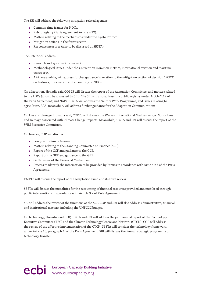The SBI will address the following mitigation related agendas:

- Common time frames for NDCs.
- Public registry (Paris Agreement Article 4.12).
- Matters relating to the mechanisms under the Kyoto Protocol.
- Mitigation actions in the forest sector.
- Response measures (also to be discussed at SBSTA).

The SBSTA will address:

- Research and systematic observation.
- Methodological issues under the Convention (common metrics, international aviation and maritime transport).
- APA, meanwhile, will address further guidance in relation to the mitigation section of decision 1/CP.21 on features, information and accounting of NDCs.

On adaptation, Honadia said COP23 will discuss the report of the Adaptation Committee; and matters related to the LDCs (also to be discussed by SBI). The SBI will also address the public registry under Article 7.12 of the Paris Agreement; and NAPs. SBSTA will address the Nairobi Work Programme, and issues relating to agriculture. APA, meanwhile, will address further guidance for the Adaptation Communications.

On loss and damage, Honadia said, COP23 will discuss the Warsaw International Mechanism (WIM) for Loss and Damage associated with Climate Change Impacts. Meanwhile, SBSTA and SBI will discuss the report of the WIM Executive Committee.

On finance, COP will discuss:

- Long-term climate finance.
- Matters relating to the Standing Committee on Finance (SCF).
- Report of the GCF and guidance to the GCF.
- Report of the GEF and guidance to the GEF.
- Sixth review of the Financial Mechanism.
- Process to identify the information to be provided by Parties in accordance with Article 9.5 of the Paris Agreement.

CMP13 will discuss the report of the Adaptation Fund and its third review.

SBSTA will discuss the modalities for the accounting of financial resources provided and mobilised through public interventions in accordance with Article 9.7 of Paris Agreement.

SBI will address the review of the functions of the SCF. COP and SBI will also address administrative, financial and institutional matters, including the UNFCCC budget.

On technology, Honadia said COP, SBSTA and SBI will address the joint annual report of the Technology Executive Committee (TEC) and the Climate Technology Centre and Network (CTCN). COP will address the review of the effective implementation of the CTCN. SBSTA will consider the technology framework under Article 10, paragraph 4, of the Paris Agreement. SBI will discuss the Poznan strategic programme on technology transfer.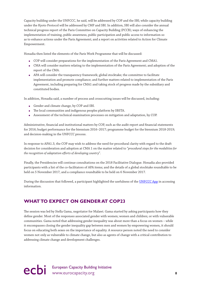<span id="page-9-0"></span>Capacity building under the UNFCCC, he said, will be addressed by COP and the SBI; while capacity building under the Kyoto Protocol will be addressed by CMP and SBI. In addition, SBI will also consider the annual technical progress report of the Paris Committee on Capacity Building (PCCB); ways of enhancing the implementation of training, public awareness, public participation and public access to information so as to enhance actions under the Paris Agreement; and a report on activities related to Action for Climate Empowerment.

Honadia then listed the elements of the Paris Work Programme that will be discussed:

- COP will consider preparations for the implementation of the Paris Agreement and CMA1.
- CMA will consider matters relating to the implementation of the Paris Agreement; and adoption of the report of the CMA.
- APA will consider the transparency framework; global stocktake; the committee to facilitate implementation and promote compliance; and further matters related to implementation of the Paris Agreement, including preparing for CMA1 and taking stock of progress made by the subsidiary and constituted bodies.

In addition, Honadia said, a number of process and crosscutting issues will be discussed, including:

- Gender and climate change, by COP and SBI.
- The local communities and indigenous peoples platform by SBSTA.
- Assessment of the technical examination processes on mitigation and adaptation, by COP.

Administrative, financial and institutional matters by COP, such as the audit report and financial statements for 2016; budget performance for the biennium 2016–2017; programme budget for the biennium 2018-2019; and decision-making in the UNFCCC process.

In response to APA1.3, the COP may wish to address the need for procedural clarity with regard to the draft decision for consideration and adoption at CMA 1 on the matter related to "*procedural steps for the modalities for the recognition of adaptation efforts of developing country*".

Finally, the Presidencies will continue consultations on the 2018 Facilitative Dialogue. Honadia also provided participants with a list of the co-facilitators of APA items; and the details of a global stocktake roundtable to be held on 5 November 2017, and a compliance roundtable to be held on 6 November 2017.

During the discussion that followed, a participant highlighted the usefulness of the [UNFCCC App](http://newsroom.unfccc.int/unfccc-newsroom/download-unfccc-negotiator-app/) in accessing information.

### **WHAT TO EXPECT ON GENDER AT COP23**

The session was led by Stella Gama, negotiator for Malawi. Gama started by asking participants how they define gender. Most of the responses associated gender with women; women and children; or with vulnerable communities. Gama noted that addressing gender inequality was about more than a focus on women – while it encompasses closing the gender inequality gap between men and women by empowering women, it should focus on educating both sexes on the importance of equality. A resource person noted the need to consider women not only as vulnerable to climate change, but also as agents of change with a critical contribution to addressing climate change and development challenges.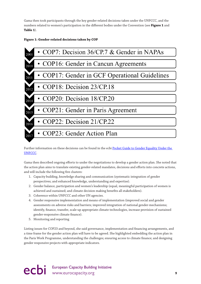Gama then took participants through the key gender-related decisions taken under the UNFCCC, and the numbers related to women's participation in the different bodies under the Convention (see **Figure 1** and **Table 1**).

#### **Figure 1: Gender-related decisions taken by COP**



#### Further information on these decisions can be found in the ecbi [Pocket Guide to Gender Equality Under the](http://www.eurocapacity.org/downloads/Final-Gender.pdf)  [UNFCCC.](http://www.eurocapacity.org/downloads/Final-Gender.pdf)

Gama then described ongoing efforts to under the negotiations to develop a gender action plan. She noted that the action plan aims to translate existing gender-related mandates, decisions and efforts into concrete actions, and will include the following five clusters:

- 1. Capacity building, knowledge sharing and communication (systematic integration of gender perspectives; and enhanced knowledge, understanding and expertise).
- 2. Gender balance, participation and women's leadership (equal, meaningful participation of women is achieved and sustained; and climate decision making benefits all stakeholders).
- 3. Coherence within UNFCCC and other UN agencies.
- 4. Gender responsive implementation and means of implementation (improved social and gender assessments on adverse risks and barriers; improved integration of national gender-mechanisms; identify, finance, transfer, scale-up appropriate climate technologies, increase provision of sustained gender-responsive climate finance).
- 5. Monitoring and reporting

Listing issues for COP23 and beyond, she said governance, implementation and financing arrangements, and a time frame for the gender action plan will have to be agreed. She highlighted embedding the action plan in the Paris Work Programme, understanding the challenges; ensuring access to climate finance; and designing gender responsive projects with appropriate indicators.

ecbi European Capacity Building Initiative<br>
9<br>
9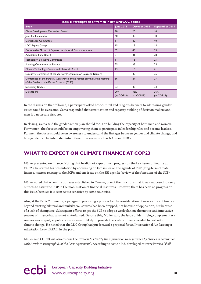<span id="page-11-0"></span>

| Table I: Participation of women in key UNFCCC bodies                                                                       |                   |                   |                   |  |  |  |  |  |
|----------------------------------------------------------------------------------------------------------------------------|-------------------|-------------------|-------------------|--|--|--|--|--|
| <b>Body</b>                                                                                                                | <b>June 2013</b>  | October 2014      | September 2015    |  |  |  |  |  |
| Clean Development Mechanism Board                                                                                          | 20                | 20                | $\overline{10}$   |  |  |  |  |  |
| Joint Implementation                                                                                                       | 40                | 40                | 40                |  |  |  |  |  |
| <b>Compliance Committee</b>                                                                                                | $\mathbf{H}$      | 40                | 40                |  |  |  |  |  |
| <b>LDC Expert Group</b>                                                                                                    | 15                | 15                | 15                |  |  |  |  |  |
| Consultative Group of Experts on National Communications                                                                   | 52                | 43                | 33                |  |  |  |  |  |
| Adaptation Fund Board                                                                                                      | 31                | 31                | 28                |  |  |  |  |  |
| <b>Technology Executive Committee</b>                                                                                      | $\mathbf{H}$      | 15                | 25                |  |  |  |  |  |
| Standing Committee on Finance                                                                                              | 25                | 35                | 35                |  |  |  |  |  |
| Climate Technology Centre and Network Board                                                                                | $\overline{13}$   | 13                | 6                 |  |  |  |  |  |
| Executive Committee of the Warsaw Mechanism on Loss and Damage                                                             |                   | 30                | 35                |  |  |  |  |  |
| Conference of the Parties / Conference of the Parties serving as the meeting<br>of the Parties to the Kyoto Protocol (CMP) | 36                | 27                | 27                |  |  |  |  |  |
| Subsidiary Bodies                                                                                                          | 33                | 33                | 33                |  |  |  |  |  |
| Delegations                                                                                                                | 29%<br>(at COP18) | 36%<br>(at COPI9) | 36%<br>(at COPI9) |  |  |  |  |  |

In the discussion that followed, a participant asked how cultural and religious barriers to addressing gender issues could be overcome. Gama responded that sensitisation and capacity building of decision makers and men is a necessary first step.

In closing, Gama said the gender action plan should focus on building the capacity of both men and women. For women, the focus should be on empowering them to participate in leadership roles and become leaders. For men, the focus should be on awareness to understand the linkages between gender and climate change, and how gender can be integrated into different processes such as NAPs and NDCs.

# **WHAT TO EXPECT ON CLIMATE FINANCE AT COP23**

Müller presented on finance. Noting that he did not expect much progress on the key issues of finance at COP23, he started his presentation by addressing on two issues on the agenda of COP (long-term climate finance, matters relating to the SCF); and one issue on the SBI agenda (review of the functions of the SCF).

Müller noted that when the SCF was established in Cancun, one of the functions that it was supposed to carry out was to assist the COP in the mobilisation of financial resources. However, there has been no progress on this issue, because it is seen as too sensitive by some countries.

Also, at the Paris Conference, a paragraph proposing a process for the consideration of new sources of finance beyond existing bilateral and multilateral sources had been dropped, not because of opposition, but because of a lack of champions. Subsequent efforts to get the SCF to adopt a work plan on alternative and innovative sources of finance had also not materialised. Despite this, Müller said, the issue of identifying complementary sources was urgent, as public sources were unlikely to provide the scale of finance needed to deal with climate change. He noted that the LDC Group had put forward a proposal for an International Air Passenger Adaptation Levy (IAPAL) in the past.

Müller said COP23 will also discuss the "*Process to identify the information to be provided by Parties in accordance with Article 9, paragraph 5, of the Paris Agreement"*. According to Article 9.5, developed country Parties "*shall*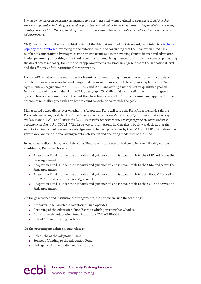*biennially communicate indicative quantitative and qualitative information related to paragraphs 1 and 3 of this Article, as applicable, including, as available, projected levels of public financial resources to be provided to developing country Parties. Other Parties providing resources are encouraged to communicate biennially such information on a voluntary basi*s."

CMP, meanwhile, will discuss the third review of the Adaptation Fund. In this regard, he pointed to a [technical](http://unfccc.int/resource/docs/2017/tp/06.pdf)  [paper by the Secretariat](http://unfccc.int/resource/docs/2017/tp/06.pdf), reviewing the Adaptation Fund, and concluding that the Adaptation Fund has a number of comparative advantages, playing an important role in the evolving climate finance and adaptation landscape. Among other things, the Fund is credited for mobilising finance from innovative sources; pioneering the direct access modality; the speed of its approval process; its strategic engagement at the subnational level; and the efficiency of its institutional arrangements.

He said APA will discuss the modalities for biennially communicating finance information on the provision of public financial resources to developing countries in accordance with Article 9, paragraph 5, of the Paris Agreement; CMA guidance to GEF, GCF, LDCF, and SCCF; and setting a new collective quantified goal on finance in accordance with decision 1/CP.21, paragraph 53. Müller said he himself did not think long-term goals on finance were useful, as in the past they have been a recipe for "mutually assured unhappiness" in the absence of mutually agreed rules on how to count contributions towards the goals.

Müller noted a deep divide over whether the Adaptation Fund will serve the Paris Agreement. He said the Paris outcome recognised that the "*Adaptation Fund may serve the Agreement, subject to relevant decisions by the* [CMP and CMA]"; and "*Invites the* [CMP] *to consider the issue referred to in paragraph 60 above and make a recommendation to the* [CMA.1]". The issue was confrontational in Marrakech, but it was decided that the Adaptation Fund should serve the Paris Agreement, following decisions by the CMA and CMP that address the governance and institutional arrangements, safeguards and operating modalities of the Fund.

In subsequent discussions, he said the co-facilitators of the discussion had complied the following options identified by Parties in this regard:

- Adaptation Fund is under the authority and guidance of, and is accountable to the CMP and serves the Paris Agreement.
- Adaptation Fund is under the authority and guidance of, and is accountable to the CMA and serves the Paris Agreement.
- Adaptation Fund is under the authority and guidance of, and is accountable to both the CMP as well as the CMA … and serves the Paris Agreement.
- Adaptation Fund is under the authority and guidance of, and is accountable to the COP and serves the Paris Agreement.

On the governance and institutional arrangements, the options include the following:

- Authority under which the Adaptation Fund operates.
- Reporting of the Adaptation Fund Board to which governing body/bodies.
- Guidance to the Adaptation Fund Board from CMA/CMP/COP.
- Role of SCF in providing guidance.

On the operating modalities, issues relate to:

- Role/niche of the Adaptation Fund.
- Sources of funding to the Adaptation Fund.
- Linkages with other bodies and institutions.

ecbi European Capacity Building Initiative www.eurocapacity.org **11**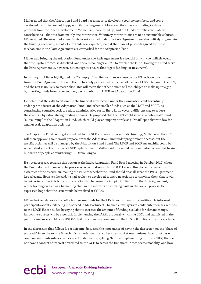Müller noted that the Adaptation Fund Board has a majority developing country members, and some developed countries are not happy with that arrangement. Moreover, the source of funding (a share of proceeds from the Clean Development Mechanism) have dried up, and the Fund now relies on bilateral contributions – that too from mainly one contributor. Voluntary contributions are not a sustainable solution, Müller noted. The new market mechanisms established under the Paris Agreement are also unlikely to generate the funding necessary, as not a lot of trade was expected, even if the share of proceeds agreed for those mechanisms in the Paris Agreement are earmarked for the Adaptation Fund.

Müller said bringing the Adaptation Fund under the Paris Agreement is essential only in the unlikely event that the Kyoto Protocol is dissolved, and there is no longer a CMP to oversee the Fund. Having the Fund serve the Paris Agreement is, however, not enough to ensure that it gets funding, or its survival.

In this regard, Müller highlighted the "Trump gap" in climate finance, cause by the US decision to withdraw from the Paris Agreement. He said the US has only paid a third of its overall pledge of US\$ 3 billion to the GCF, and the rest is unlikely to materialise. This will mean that other donors will feel obliged to make up this gap – by diverting funds from other sources, particularly from LDCF and Adaptation Fund.

He noted that the calls to rationalise the financial architecture under the Convention could eventually endanger the future of the Adaptation Fund (and other smaller funds such as the LDCF and SCCF), as contributing countries seek to reduce administrative costs. There is, however, a different way to reduce these costs – by rationalising funding streams. He proposed that the GCF could serve as a "wholesale" fund, "outsourcing" to the Adaptation Fund, which could play an important role as a "retail" specialist window for smaller scale adaptation activities.

The Adaptation Fund could get accredited to the GCF, and seek programmatic funding, Müller said. The GCF will then approve a framework proposal from the Adaptation Fund under programmatic access, but the specific activities will be managed by the Adaptation Fund Board. The LDCF and SCCF, meanwhile, could be replenished as part of the overall GEF replenishment. Müller said this would be more cost-effective that having hundreds of people administering GCF from Songdo.

He noted progress towards this option at the latest Adaptation Fund Board meeting in October 2017, where the Board decided to initiate the process of accreditation with the GCF. He said this decision change the dynamics of the discussion, making the issue of whether the Fund should or shall serve the Paris Agreement less relevant. However, he said, he had spoken to developed country negotiators to convince them that it will be better to resolve this issue of the relationship between the Adaptation Fund and the Paris Agreement, rather holding on to it as a bargaining chip, in the interests of fostering trust in the overall process. He expressed hope that the issue would be resolved at COP23.

Müller further elaborated on efforts to secure funds for the LDCF from sub-national entities. He informed participants about a bill being introduced in Massachusetts, to enable taxpayers to contribute their tax refunds to the LDCF. He concluded by saying that to increase the amount of funding available for climate change, innovative sources will be essential. Implementing the IAPAL proposal, which the LDCs had submitted in the past, for instance, could raise US\$ 8-10 billion annually – compared to the US\$ 600 million currently available.

In the discussion that followed, participants discussed the importance of having the discussion on the "share of proceeds" from the Article 6 mechanisms under finance, rather than market mechanisms; how countries with comparative disadvantages can access climate finance; getting National Implementing Entities (NIEs) that do not have a conflict of interest accredited to the GCF, to access the Enhanced Direct Access modality; and how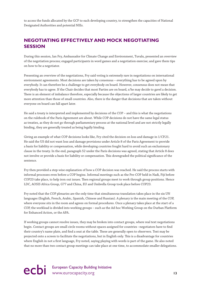<span id="page-14-0"></span>to access the funds allocated by the GCF to each developing country, to strengthen the capacities of National Designated Authorities and potential NIEs.

### **NEGOTIATING EFFECTIVELY AND MOCK NEGOTIATING SESSION**

During this session, Ian Fry, Ambassador for Climate Change and Environment, Tuvalu, presented an overview of the negotiation process; engaged participants in word games and a negotiation exercise; and gave them tips on how to be a negotiator.

Presenting an overview of the negotiations, Fry said voting is extremely rare in negotiations on international environment agreements. Most decisions are taken by consensus – everything has to be agreed upon by everybody. It can therefore be a challenge to get everybody on board. However, consensus does not mean that everybody has to agree. If the Chair decides that most Parties are on board, s/he may decide to gavel a decision. There is an element of imbalance therefore, especially because the objections of larger countries are likely to get more attention than those of small countries. Also, there is the danger that decisions that are taken without everyone on board can fall apart later.

He said a treaty is interpreted and implemented by decisions of the COP – and this is what the negotiations on the rulebook of the Paris Agreement are about. While COP decisions do not have the same legal status as treaties, as they do not go through parliamentary process at the national level and are not strictly legally binding, they are generally treated as being legally binding.

Giving an example of what COP decisions looks like, Fry cited the decision on loss and damage in 1/CP.21. He said the US did not want loss and damage provisions under Article 8 of the Paris Agreement to provide a basis for liability or compensation, while developing countries fought hard to avoid such an exclusionary clause in the treaty. In the end, paragraph 52 under the Paris decisions was agreed, stating that Article 8 does not involve or provide a basis for liability or compensation. This downgraded the political significance of the sentence.

Fry then provided a step-wise explanation of how a COP decision was reached. He said the process starts with informal processes even before a COP begins. Informal meetings such as the Pre-COP held in Nadi, Fiji before COP23 take place, to help iron out issues. Then regional groups meet to work through group positions. Hence LDC, AOSIS Africa Group, G77 and China, EU and Umbrella Group took place before COP23.

Fry noted that the COP plenaries are the only time that simultaneous translation takes place in the six UN languages (English, French, Arabic, Spanish, Chinese and Russian). A plenary is the main meeting of the COP, where everyone sits in the room and agrees on formal procedures. Once a plenary takes place at the start of a COP, the workload is divided into working groups – such as the Ad-hoc Working Group on the Durban Platform for Enhanced Action, or the APA.

If working groups cannot resolve issues, they may be broken into contact groups, where real text negotiations begin. Contact groups are small circle rooms without spaces assigned for countries –negotiators have to find their country's name plate, and find a seat at the table. These are generally open to observers. Text may be projected onto a screen to facilitate the negotiations, but in English only. This is a disadvantage for countries where English in not a first language, Fry noted, saying playing with words is part of the game. He also noted that no more than two contact group meetings can take place at one time, to accommodate smaller delegations.

ecbi European Capacity Building Initiative<br>
13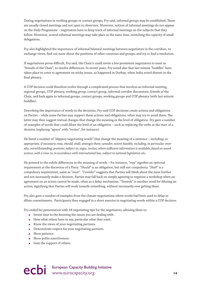During negotiations in working groups or contact groups, Fry said, informal groups may be established. These are usually closed meetings and not open to observers. Moreover, notices of informal meetings do not appear on the Daily Programme – negotiators have to keep track of informal meetings on the subjects that they follow. Moreover, several informal meetings may take place at the same time, stretching the capacity of small delegations.

Fry also highlighted the importance of informal bilateral meetings between negotiators in the corridors, to exchange views, find out more about the positions of other countries and groups, and try to find a resolution.

If negotiations prove difficult, Fry said, the Chair/s could invite a few prominent negotiators to meet as "friends of the Chair", to resolve differences. In recent years, Fry noted also that last minute "huddles" have taken place to come to agreement on sticky issues, as happened in Durban, when India noted dissent in the final plenary.

A COP decision could therefore evolve through a complicated process that involves an informal meeting, regional groups, COP plenary, working group, contact group, informal corridor discussions, friends of the Chair, and back again to informal groups, contact groups, working groups and COP plenary (with last minute huddles).

Describing the importance of words in the decisions, Fry said COP decisions create actions and obligations on Parties – while some Parties may support these actions and obligations, other may try to avoid them. The latter may then suggest textual changes that change the meaning or the level of obligation. Fry gave a number of examples of words that could dilute the level of an obligation – such as replacing the verbs at the start of a decision (replacing "*agrees*" with "*invites*", for instance).

He listed a number of "slippery negotiating words" that change the meaning of a sentence – including: *as appropriate, if necessary*; *may, should, shall; amongst them; consider*; *extent feasible, including, in particular, inter alia, notwithstanding*; *promote*; *subject to*; *urges, invites*; *where sufficient information is available*; *based on sound science*; *with a view to*; *in accordance with international law, subject to national legislation* etc.

He pointed to the subtle differences in the meaning of words – for instance, "*may*" signifies an optional requirement at the discretion of a Party. "*Should*" is an obligation, but still not compulsory. "*Shall*" is a compulsory requirement, same as "*must*". "*Consider*" suggests that Parties will think about the issue further and not necessarily make a decision. Parties may fall back on simply agreeing to organise a workshop when an agreement on an action cannot be made, often as a delay mechanism. "*Towards*" is another word for diluting an action, signifying that Parties will work towards something, without necessarily ever getting there.

Fry also gave a number of examples from the climate negotiations where words had been used to delay or dilute commitments. Participants then engaged in a short exercise in negotiating words within a COP decision.

Fry ended his presentation with 18 negotiating tips for the negotiators, advising them to:

- Invest time in the knowing the issues you are dealing with.
- Hear what others have to say, particular what they want.
- Know the views of your negotiating partners.
- Demonstrate respect for your negotiating partners.
- Show patience.
- Show polite assertiveness.
- Gain the support of others.

# ecbi European Capacity Building Initiative<br>
14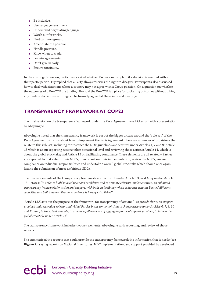- <span id="page-16-0"></span> $\bullet$  Be inclusive.
- Use language sensitively.
- Understand negotiating language.
- Watch out for tricks.
- Find common ground.
- Accentuate the positive.
- Handle pressure.
- Know when to trade.
- Lock-in agreements.
- Don't give in early.
- Ensure continuity.

In the ensuing discussion, participants asked whether Parties can complain if a decision is reached without their participation. Fry replied that a Party always reserves the right to disagree. Participants also discussed how to deal with situations where a country may not agree with a Group position. On a question on whether the outcomes of a Pre-COP are binding, Fry said the Pre-COP is a place for brokering outcomes without taking any binding decisions – nothing can be formally agreed at these informal meetings.

### **TRANSPARENCY FRAMEWORK AT COP23**

The final session on the transparency framework under the Paris Agreement was kicked off with a presentation by Abeysinghe.

Abeysinghe noted that the transparency framework is part of the bigger picture around the "rule set" of the Paris Agreement, which is about how to implement the Paris Agreement. There are a number of provisions that relate to this rule set, including for instance the NDC guidelines and features under Articles 4, 7 and 9; Article 13 which is about reporting actions taken at national level and reviewing those actions; Article 14, which is about the global stocktake; and Article 15 on facilitating compliance. These elements are all related – Parties are expected to first submit their NDCs; then report on their implementation; review the NDCs; ensure compliance on individual responsibilities and undertake a overall global stocktake which should once again lead to the submission of more ambitious NDCs.

The precise elements of the transparency framework are dealt with under Article 13, said Abeysinghe. Article 13.1 states: "*In order to build mutual trust and confidence and to promote effective implementation, an enhanced transparency framework for action and support, with built-in flexibility which takes into account Parties' different capacities and builds upon collective experience is hereby established*".

 Article 13.5 sets out the purpose of the framework for transparency of action: "*…to provide clarity on support provided and received by relevant individual Parties in the context of climate change actions under Articles 4, 7, 9, 10 and 11, and, to the extent possible, to provide a full overview of aggregate financial support provided, to inform the global stocktake under Article 14*".

The transparency framework includes two key elements, Abeysinghe said: reporting, and review of those reports.

She summarised the reports that could provide the transparency framework the information that it needs (see **Figure 2**), saying reports on National Inventories; NDC implementation; and support provided by developed

ecbi European Capacity Building Initiative<br> **15** www.eurocapacity.org **15**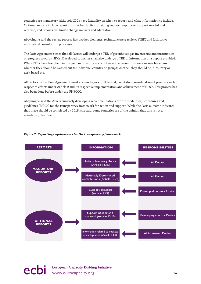countries are mandatory, although LDCs have flexibility on when to report, and what information to include. Optional reports include reports from other Parties providing support; reports on support needed and received; and reports on climate change impacts and adaptation.

Abeysinghe said the review process has two key elements: technical expert reviews (TER) and facilitative multilateral consultation processes.

The Paris Agreement states that all Parties will undergo a TER of greenhouse gas inventories and information on progress towards NDCs. Developed countries shall also undergo a TER of information on support provided. While TERs have been held in the past and the process is not new, the current discussions revolve around whether they should be carried out for individual country or groups; whether they should be in-country or desk-based etc.

All Parties to the Paris Agreement must also undergo a multilateral, facilitative consideration of progress with respect to efforts under Article 9 and its respective implementation and achievement of NDCs. This process has also been done before under the UNFCCC.

Abeysinghe said the APA is currently developing recommendations for the modalities, procedures and guidelines (MPGs) for the transparency framework for action and support. While the Paris outcome indicates that these should be completed by 2018, she said, some countries are of the opinion that this is not a mandatory deadline.

#### *Figure 2: Reporting requirements for the transparency framework*



# ecbi European Capacity Building Initiative<br> **16** www.eurocapacity.org **16**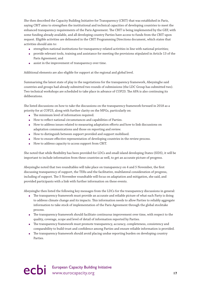She then described the Capacity Building Initiative for Transparency (CBIT) that was established in Paris, saying CBIT aims to strengthen the institutional and technical capacities of developing countries to meet the enhanced transparency requirements of the Paris Agreement. The CBIT is being implemented by the GEF, with some funding already available, and all developing country Parties have access to funds from the CBIT upon request. Eligible activities are delineated in the CBIT Programming Directions document, which states that activities should aim to:

- strengthen national institutions for transparency-related activities in line with national priorities;
- provide relevant tools, training and assistance for meeting the provisions stipulated in Article 13 of the Paris Agreement; and
- assist in the improvement of transparency over time.

Additional elements are also eligible for support at the regional and global level.

Summarising the latest state of play in the negotiations for the transparency framework, Abeysinghe said countries and groups had already submitted two rounds of submissions (the LDC Group has submitted two). Two technical workshops are scheduled to take place in advance of COP23. The APA is also continuing its deliberations.

She listed discussions on how to take the discussions on the transparency framework forward in 2018 as a priority for at COP23, along with further clarity on the MPGs, particularly on:

- The minimum level of information required.
- How to reflect national circumstances and capabilities of Parties.
- How to address issues related to measuring adaptation efforts and how to link discussions on adaptation communications and those on reporting and review.
- How to distinguish between support provided and support mobilised.
- How to ensure effective representation of developing countries in the review process.
- How to address capacity to access support from CBIT.

She noted that while flexibility has been provided for LDCs and small island developing States (SIDS), it will be important to include information from these countries as well, to get an accurate picture of progress.

Abeysinghe noted that two roundtables will take place on transparency on 4 and 5 November, the first discussing transparency of support, the TERs and the facilitative, multilateral consideration of progress, including of support. The 5 November roundtable will focus on adaptation and mitigation, she said, and provided participants with a link with further information on these events.

Abeysinghe then listed the following key messages from the LDCs for the transparency discussions in general:

- The transparency framework must provide an accurate and reliable picture of what each Party is doing to address climate change and its impacts. This information needs to allow Parties to reliably aggregate information to take stock of implementation of the Paris Agreement through the global stocktake process.
- The transparency framework should facilitate continuous improvement over time, with respect to the quality, coverage, scope and level of detail of information reported by Parties.
- The transparency framework must promote transparency, accuracy, completeness, consistency and comparability to build trust and confidence among Parties and ensure reliable information is provided.
- The transparency framework should avoid placing undue reporting burden on developing country Parties.

# European Capacity Building Initiative<br>
Www.eurocapacity.org 
17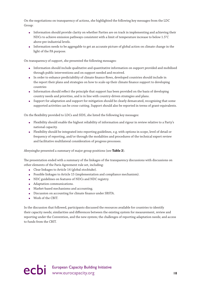On the negotiations on transparency of actions, she highlighted the following key messages from the LDC Group:

- Information should provide clarity on whether Parties are on track in implementing and achieving their NDCs to achieve emission pathways consistent with a limit of temperature increase to below 1.5°C above pre-industrial levels.
- Information needs to be aggregable to get an accurate picture of global action on climate change in the light of the PA purpose.

On transparency of support, she presented the following messages:

- Information should include qualitative and quantitative information on support provided and mobilised through public interventions and on support needed and received.
- In order to enhance predictability of climate finance flows, developed countries should include in the report their plans and strategies on how to scale-up their climate finance support to developing countries
- Information should reflect the principle that support has been provided on the basis of developing country needs and priorities, and is in line with country-driven strategies and plans.
- Support for adaptation and support for mitigation should be clearly demarcated, recognising that some supported activities can be cross-cutting. Support should also be reported in terms of grant-equivalents.

On the flexibility provided to LDCs and SIDS, she listed the following key messages:

- Flexibility should enable the highest reliability of information and rigour in review relative to a Party's national capacity.
- Flexibility should be integrated into reporting guidelines, e.g. with options in scope, level of detail or frequency of reporting, and/or through the modalities and procedures of the technical expert review and facilitative multilateral consideration of progress processes.

Abeysinghe presented a summary of major group positions (see **Table 2**).

The presentation ended with a summary of the linkages of the transparency discussions with discussions on other elements of the Paris Agreement rule set, including:

- Clear linkages to Article 14 (global stocktake).
- Possible linkages to Article 15 (implementation and compliance mechanism).
- NDC guidelines on features of NDCs and NDC registry.
- Adaptation communications.
- Market-based mechanisms and accounting.
- Discussion on accounting for climate finance under SBSTA.
- Work of the CBIT.

In the discussion that followed, participants discussed the resources available for countries to identify their capacity needs; similarities and differences between the existing system for measurement, review and reporting under the Convention, and the new system; the challenges of reporting adaptation needs; and access to funds from the CBIT.

ecbi European Capacity Building Initiative<br>
18<br> **18**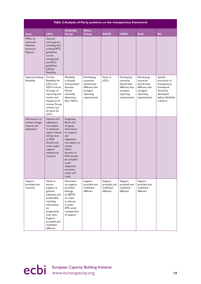| Table 2: Analysis of Party positions on the transparency framework |                                                                                                                                                                                                   |                                                                                                                                                                                                                                       |                                                                                                     |                                                     |                                                                                                     |                                                                                                     |                                                                                                                       |  |  |
|--------------------------------------------------------------------|---------------------------------------------------------------------------------------------------------------------------------------------------------------------------------------------------|---------------------------------------------------------------------------------------------------------------------------------------------------------------------------------------------------------------------------------------|-----------------------------------------------------------------------------------------------------|-----------------------------------------------------|-----------------------------------------------------------------------------------------------------|-----------------------------------------------------------------------------------------------------|-----------------------------------------------------------------------------------------------------------------------|--|--|
| <b>Issue</b>                                                       | <b>LDCs</b>                                                                                                                                                                                       | <b>Umbrella</b><br><b>Group</b>                                                                                                                                                                                                       | <b>Africa</b><br><b>Group</b>                                                                       | <b>AOSIS</b>                                        | <b>LMDC</b>                                                                                         | <b>Arab</b>                                                                                         | <b>EU</b>                                                                                                             |  |  |
| MPGs for<br>enhanced<br><b>National</b><br>Inventory<br>Reports    | General<br>convergence,<br>including that<br>existing IPCC<br>guidelines<br>can be<br>transposed;<br>and IPCC<br>guidelines<br>address<br>flexibility                                             |                                                                                                                                                                                                                                       |                                                                                                     |                                                     |                                                                                                     |                                                                                                     |                                                                                                                       |  |  |
| Operationalising<br>flexibility                                    | Further<br>flexibility for<br>LDCs and<br>SIDS in terms<br>of scope of<br>reporting and<br>review and<br>frequency of<br>review; Group<br>reviews can<br>be done for<br><b>LDCs</b>               | Flexibility<br>is already<br>incorporated<br>because<br>Parties<br>nationally<br>determine<br>their NDCs                                                                                                                              | Developing<br>countries<br>should have<br>different, less<br>stringent<br>reporting<br>requirements | Same as<br><b>LDCs</b>                              | Developing<br>countries<br>should have<br>different, less<br>stringent<br>reporting<br>requirements | Developing<br>countries<br>should have<br>different, less<br>stringent<br>reporting<br>requirements | Specific<br>provisions of<br>transparency<br>framework<br>should be<br>developed<br>before flexibility<br>is built in |  |  |
| Information on<br>climate change<br>impacts and<br>adaptation      | Impacts and<br>adaptation<br>not subject<br>to technical<br>expert review.<br>US: barriers<br>to MOI<br>should only<br>come under<br>support<br>needed and<br>received                            | Argentina,<br>Brazil and<br>Uruguay:<br>information<br>on impacts<br>and<br>adaptation<br>not subject to<br>review.<br>China:<br>barriers to<br>MOI should<br>be included<br>under<br>adaptation<br>priorities,<br>needs and<br>costs |                                                                                                     |                                                     |                                                                                                     |                                                                                                     |                                                                                                                       |  |  |
| Support<br>provided and<br>received                                | Need to<br>ensure<br>support is<br>genuine,<br>adequate and<br>predictable,<br>including<br>information<br>on<br>progressing<br>over time.<br>Support<br>provided and<br>mobilised -<br>different | Discussion<br>on support<br>provided<br>belongs<br>to SBSTA,<br>no need<br>to discuss<br>it under<br>APA under<br>transparency<br>of support                                                                                          | Support<br>provided and<br>mobilised -<br>different                                                 | Support<br>provided and<br>mobilised -<br>different | Support<br>provided and<br>mobilised -<br>different                                                 | Support<br>provided and<br>mobilised -<br>different                                                 |                                                                                                                       |  |  |

ecbi European Capacity Building Initiative<br>
19